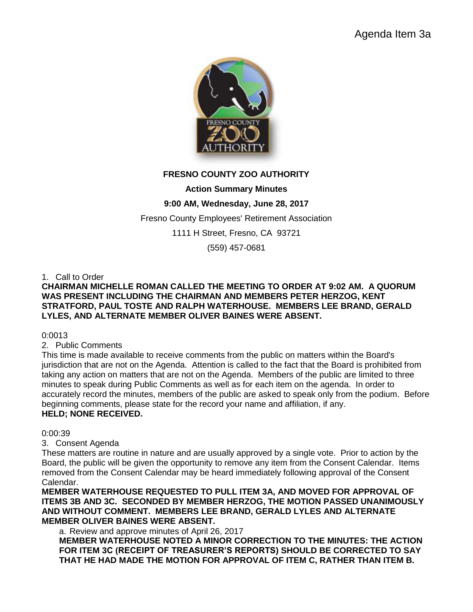

# **FRESNO COUNTY ZOO AUTHORITY**

# **Action Summary Minutes**

# **9:00 AM, Wednesday, June 28, 2017**

Fresno County Employees' Retirement Association

1111 H Street, Fresno, CA 93721

(559) 457-0681

## 1. Call to Order

### **CHAIRMAN MICHELLE ROMAN CALLED THE MEETING TO ORDER AT 9:02 AM. A QUORUM WAS PRESENT INCLUDING THE CHAIRMAN AND MEMBERS PETER HERZOG, KENT STRATFORD, PAUL TOSTE AND RALPH WATERHOUSE. MEMBERS LEE BRAND, GERALD LYLES, AND ALTERNATE MEMBER OLIVER BAINES WERE ABSENT.**

0:0013

2. Public Comments

This time is made available to receive comments from the public on matters within the Board's jurisdiction that are not on the Agenda. Attention is called to the fact that the Board is prohibited from taking any action on matters that are not on the Agenda. Members of the public are limited to three minutes to speak during Public Comments as well as for each item on the agenda. In order to accurately record the minutes, members of the public are asked to speak only from the podium. Before beginning comments, please state for the record your name and affiliation, if any. **HELD; NONE RECEIVED.**

#### 0:00:39

3. Consent Agenda

These matters are routine in nature and are usually approved by a single vote. Prior to action by the Board, the public will be given the opportunity to remove any item from the Consent Calendar. Items removed from the Consent Calendar may be heard immediately following approval of the Consent Calendar.

**MEMBER WATERHOUSE REQUESTED TO PULL ITEM 3A, AND MOVED FOR APPROVAL OF ITEMS 3B AND 3C. SECONDED BY MEMBER HERZOG, THE MOTION PASSED UNANIMOUSLY AND WITHOUT COMMENT. MEMBERS LEE BRAND, GERALD LYLES AND ALTERNATE MEMBER OLIVER BAINES WERE ABSENT.**

a. Review and approve minutes of April 26, 2017 **MEMBER WATERHOUSE NOTED A MINOR CORRECTION TO THE MINUTES: THE ACTION FOR ITEM 3C (RECEIPT OF TREASURER'S REPORTS) SHOULD BE CORRECTED TO SAY THAT HE HAD MADE THE MOTION FOR APPROVAL OF ITEM C, RATHER THAN ITEM B.**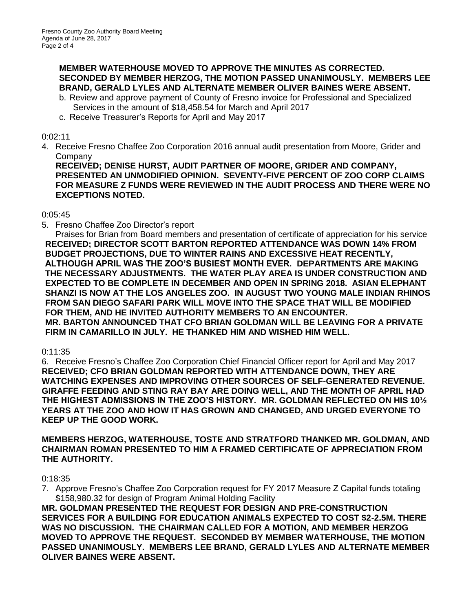## **MEMBER WATERHOUSE MOVED TO APPROVE THE MINUTES AS CORRECTED. SECONDED BY MEMBER HERZOG, THE MOTION PASSED UNANIMOUSLY. MEMBERS LEE BRAND, GERALD LYLES AND ALTERNATE MEMBER OLIVER BAINES WERE ABSENT.**

- b. Review and approve payment of County of Fresno invoice for Professional and Specialized Services in the amount of \$18,458.54 for March and April 2017
- c. Receive Treasurer's Reports for April and May 2017

### 0:02:11

4. Receive Fresno Chaffee Zoo Corporation 2016 annual audit presentation from Moore, Grider and Company

**RECEIVED; DENISE HURST, AUDIT PARTNER OF MOORE, GRIDER AND COMPANY, PRESENTED AN UNMODIFIED OPINION. SEVENTY-FIVE PERCENT OF ZOO CORP CLAIMS FOR MEASURE Z FUNDS WERE REVIEWED IN THE AUDIT PROCESS AND THERE WERE NO EXCEPTIONS NOTED.**

## 0:05:45

5. Fresno Chaffee Zoo Director's report

Praises for Brian from Board members and presentation of certificate of appreciation for his service **RECEIVED; DIRECTOR SCOTT BARTON REPORTED ATTENDANCE WAS DOWN 14% FROM BUDGET PROJECTIONS, DUE TO WINTER RAINS AND EXCESSIVE HEAT RECENTLY, ALTHOUGH APRIL WAS THE ZOO'S BUSIEST MONTH EVER. DEPARTMENTS ARE MAKING THE NECESSARY ADJUSTMENTS. THE WATER PLAY AREA IS UNDER CONSTRUCTION AND EXPECTED TO BE COMPLETE IN DECEMBER AND OPEN IN SPRING 2018. ASIAN ELEPHANT SHANZI IS NOW AT THE LOS ANGELES ZOO. IN AUGUST TWO YOUNG MALE INDIAN RHINOS FROM SAN DIEGO SAFARI PARK WILL MOVE INTO THE SPACE THAT WILL BE MODIFIED FOR THEM, AND HE INVITED AUTHORITY MEMBERS TO AN ENCOUNTER. MR. BARTON ANNOUNCED THAT CFO BRIAN GOLDMAN WILL BE LEAVING FOR A PRIVATE FIRM IN CAMARILLO IN JULY. HE THANKED HIM AND WISHED HIM WELL.** 

## 0:11:35

6. Receive Fresno's Chaffee Zoo Corporation Chief Financial Officer report for April and May 2017 **RECEIVED; CFO BRIAN GOLDMAN REPORTED WITH ATTENDANCE DOWN, THEY ARE WATCHING EXPENSES AND IMPROVING OTHER SOURCES OF SELF-GENERATED REVENUE. GIRAFFE FEEDING AND STING RAY BAY ARE DOING WELL, AND THE MONTH OF APRIL HAD THE HIGHEST ADMISSIONS IN THE ZOO'S HISTORY. MR. GOLDMAN REFLECTED ON HIS 10½ YEARS AT THE ZOO AND HOW IT HAS GROWN AND CHANGED, AND URGED EVERYONE TO KEEP UP THE GOOD WORK.**

**MEMBERS HERZOG, WATERHOUSE, TOSTE AND STRATFORD THANKED MR. GOLDMAN, AND CHAIRMAN ROMAN PRESENTED TO HIM A FRAMED CERTIFICATE OF APPRECIATION FROM THE AUTHORITY.**

0:18:35

7. Approve Fresno's Chaffee Zoo Corporation request for FY 2017 Measure Z Capital funds totaling \$158,980.32 for design of Program Animal Holding Facility

**MR. GOLDMAN PRESENTED THE REQUEST FOR DESIGN AND PRE-CONSTRUCTION SERVICES FOR A BUILDING FOR EDUCATION ANIMALS EXPECTED TO COST \$2-2.5M. THERE WAS NO DISCUSSION. THE CHAIRMAN CALLED FOR A MOTION, AND MEMBER HERZOG MOVED TO APPROVE THE REQUEST. SECONDED BY MEMBER WATERHOUSE, THE MOTION PASSED UNANIMOUSLY. MEMBERS LEE BRAND, GERALD LYLES AND ALTERNATE MEMBER OLIVER BAINES WERE ABSENT.**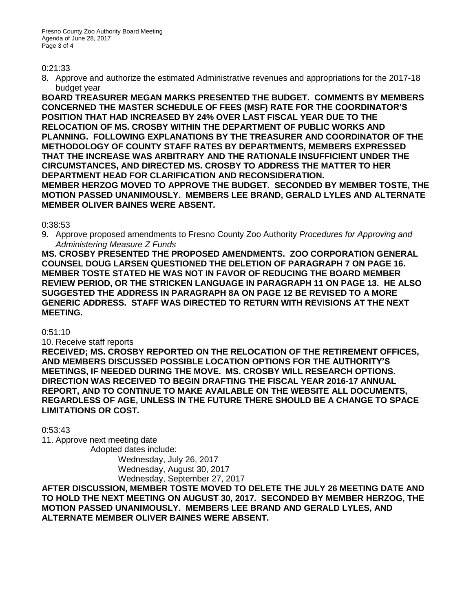### 0:21:33

8. Approve and authorize the estimated Administrative revenues and appropriations for the 2017-18 budget year

**BOARD TREASURER MEGAN MARKS PRESENTED THE BUDGET. COMMENTS BY MEMBERS CONCERNED THE MASTER SCHEDULE OF FEES (MSF) RATE FOR THE COORDINATOR'S POSITION THAT HAD INCREASED BY 24% OVER LAST FISCAL YEAR DUE TO THE RELOCATION OF MS. CROSBY WITHIN THE DEPARTMENT OF PUBLIC WORKS AND PLANNING. FOLLOWING EXPLANATIONS BY THE TREASURER AND COORDINATOR OF THE METHODOLOGY OF COUNTY STAFF RATES BY DEPARTMENTS, MEMBERS EXPRESSED THAT THE INCREASE WAS ARBITRARY AND THE RATIONALE INSUFFICIENT UNDER THE CIRCUMSTANCES, AND DIRECTED MS. CROSBY TO ADDRESS THE MATTER TO HER DEPARTMENT HEAD FOR CLARIFICATION AND RECONSIDERATION. MEMBER HERZOG MOVED TO APPROVE THE BUDGET. SECONDED BY MEMBER TOSTE, THE MOTION PASSED UNANIMOUSLY. MEMBERS LEE BRAND, GERALD LYLES AND ALTERNATE MEMBER OLIVER BAINES WERE ABSENT.** 

## 0:38:53

9. Approve proposed amendments to Fresno County Zoo Authority *Procedures for Approving and Administering Measure Z Funds*

**MS. CROSBY PRESENTED THE PROPOSED AMENDMENTS. ZOO CORPORATION GENERAL COUNSEL DOUG LARSEN QUESTIONED THE DELETION OF PARAGRAPH 7 ON PAGE 16. MEMBER TOSTE STATED HE WAS NOT IN FAVOR OF REDUCING THE BOARD MEMBER REVIEW PERIOD, OR THE STRICKEN LANGUAGE IN PARAGRAPH 11 ON PAGE 13. HE ALSO SUGGESTED THE ADDRESS IN PARAGRAPH 8A ON PAGE 12 BE REVISED TO A MORE GENERIC ADDRESS. STAFF WAS DIRECTED TO RETURN WITH REVISIONS AT THE NEXT MEETING.**

## 0:51:10

10. Receive staff reports

**RECEIVED; MS. CROSBY REPORTED ON THE RELOCATION OF THE RETIREMENT OFFICES, AND MEMBERS DISCUSSED POSSIBLE LOCATION OPTIONS FOR THE AUTHORITY'S MEETINGS, IF NEEDED DURING THE MOVE. MS. CROSBY WILL RESEARCH OPTIONS. DIRECTION WAS RECEIVED TO BEGIN DRAFTING THE FISCAL YEAR 2016-17 ANNUAL REPORT, AND TO CONTINUE TO MAKE AVAILABLE ON THE WEBSITE ALL DOCUMENTS, REGARDLESS OF AGE, UNLESS IN THE FUTURE THERE SHOULD BE A CHANGE TO SPACE LIMITATIONS OR COST.**

0:53:43

11. Approve next meeting date

Adopted dates include: Wednesday, July 26, 2017 Wednesday, August 30, 2017 Wednesday, September 27, 2017

**AFTER DISCUSSION, MEMBER TOSTE MOVED TO DELETE THE JULY 26 MEETING DATE AND TO HOLD THE NEXT MEETING ON AUGUST 30, 2017. SECONDED BY MEMBER HERZOG, THE MOTION PASSED UNANIMOUSLY. MEMBERS LEE BRAND AND GERALD LYLES, AND ALTERNATE MEMBER OLIVER BAINES WERE ABSENT.**